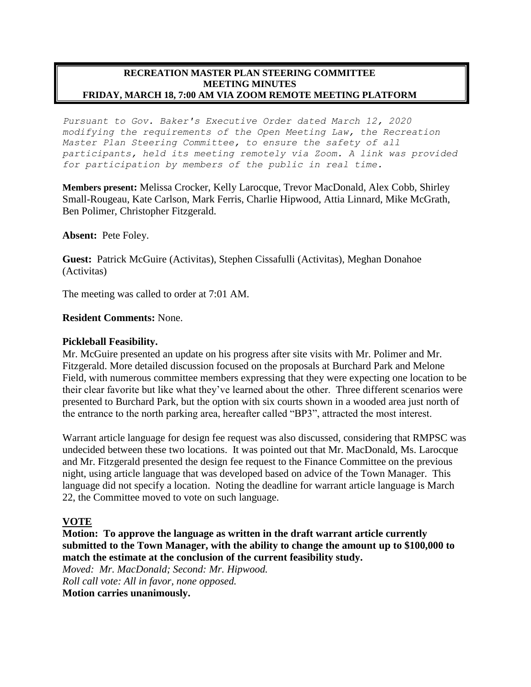#### **RECREATION MASTER PLAN STEERING COMMITTEE MEETING MINUTES FRIDAY, MARCH 18, 7:00 AM VIA ZOOM REMOTE MEETING PLATFORM**

*Pursuant to Gov. Baker's Executive Order dated March 12, 2020 modifying the requirements of the Open Meeting Law, the Recreation Master Plan Steering Committee, to ensure the safety of all participants, held its meeting remotely via Zoom. A link was provided for participation by members of the public in real time.*

**Members present:** Melissa Crocker, Kelly Larocque, Trevor MacDonald, Alex Cobb, Shirley Small-Rougeau, Kate Carlson, Mark Ferris, Charlie Hipwood, Attia Linnard, Mike McGrath, Ben Polimer, Christopher Fitzgerald.

### **Absent:** Pete Foley.

**Guest:** Patrick McGuire (Activitas), Stephen Cissafulli (Activitas), Meghan Donahoe (Activitas)

The meeting was called to order at 7:01 AM.

### **Resident Comments:** None.

### **Pickleball Feasibility.**

Mr. McGuire presented an update on his progress after site visits with Mr. Polimer and Mr. Fitzgerald. More detailed discussion focused on the proposals at Burchard Park and Melone Field, with numerous committee members expressing that they were expecting one location to be their clear favorite but like what they've learned about the other. Three different scenarios were presented to Burchard Park, but the option with six courts shown in a wooded area just north of the entrance to the north parking area, hereafter called "BP3", attracted the most interest.

Warrant article language for design fee request was also discussed, considering that RMPSC was undecided between these two locations. It was pointed out that Mr. MacDonald, Ms. Larocque and Mr. Fitzgerald presented the design fee request to the Finance Committee on the previous night, using article language that was developed based on advice of the Town Manager. This language did not specify a location. Noting the deadline for warrant article language is March 22, the Committee moved to vote on such language.

## **VOTE**

**Motion: To approve the language as written in the draft warrant article currently submitted to the Town Manager, with the ability to change the amount up to \$100,000 to match the estimate at the conclusion of the current feasibility study.** 

*Moved: Mr. MacDonald; Second: Mr. Hipwood. Roll call vote: All in favor, none opposed.*

**Motion carries unanimously.**